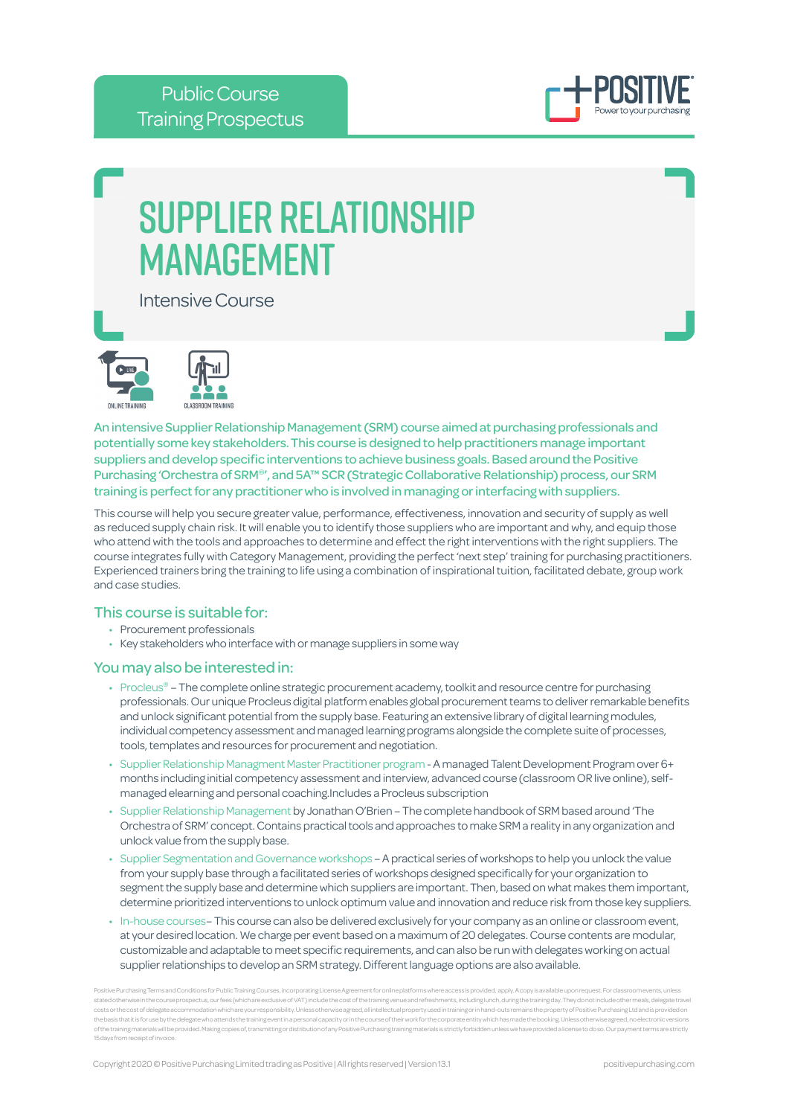

# Supplier Relationship **MANAGEMENT**

Intensive Course





An intensive Supplier Relationship Management (SRM) course aimed at purchasing professionals and potentially some key stakeholders. This course is designed to help practitioners manage important suppliers and develop specific interventions to achieve business goals. Based around the Positive Purchasing 'Orchestra of SRM®', and 5A™ SCR (Strategic Collaborative Relationship) process, our SRM training is perfect for any practitioner who is involved in managing or interfacing with suppliers.

This course will help you secure greater value, performance, effectiveness, innovation and security of supply as well as reduced supply chain risk. It will enable you to identify those suppliers who are important and why, and equip those who attend with the tools and approaches to determine and effect the right interventions with the right suppliers. The course integrates fully with Category Management, providing the perfect 'next step' training for purchasing practitioners. Experienced trainers bring the training to life using a combination of inspirational tuition, facilitated debate, group work and case studies.

## This course is suitable for:

- Procurement professionals
- Key stakeholders who interface with or manage suppliers in some way

## You may also be interested in:

- Procleus® The complete online strategic procurement academy, toolkit and resource centre for purchasing professionals. Our unique Procleus digital platform enables global procurement teams to deliver remarkable benefits and unlock significant potential from the supply base. Featuring an extensive library of digital learning modules, individual competency assessment and managed learning programs alongside the complete suite of processes, tools, templates and resources for procurement and negotiation.
- Supplier Relationship Managment Master Practitioner program A managed Talent Development Program over 6+ months including initial competency assessment and interview, advanced course (classroom OR live online), selfmanaged elearning and personal coaching.Includes a Procleus subscription
- Supplier Relationship Management by Jonathan O'Brien The complete handbook of SRM based around 'The Orchestra of SRM' concept. Contains practical tools and approaches to make SRM a reality in any organization and unlock value from the supply base.
- Supplier Segmentation and Governance workshops A practical series of workshops to help you unlock the value from your supply base through a facilitated series of workshops designed specifically for your organization to segment the supply base and determine which suppliers are important. Then, based on what makes them important, determine prioritized interventions to unlock optimum value and innovation and reduce risk from those key suppliers.
- In-house courses– This course can also be delivered exclusively for your company as an online or classroom event, at your desired location. We charge per event based on a maximum of 20 delegates. Course contents are modular, customizable and adaptable to meet specific requirements, and can also be run with delegates working on actual supplier relationships to develop an SRM strategy. Different language options are also available.

Positive Purchasing Terms and Conditions for Public Training Courses, incorporating License Agreement for online platforms where access is provided, apply. A copy is available upon request. For classroom events, unless stated otherwise in the course prospectus, our fees (which are exclusive of VAT) include the cost of the training verue and refreshments, including lunch, during the training day. They do not include other meals, delegate costs or the cost of delegate accommodation which are your responsibility. Unless otherwise agreed, all intellectual property used in training or in hand-outs remains the property of Positive Purchasing Ltd and is provided of the training materials will be provided. Making copies of, transmitting or distribution of any Positive Purchasing training materials is strictly forbidden unless we have provided a license to do so. Our payment terms a 15 days from receipt of invo